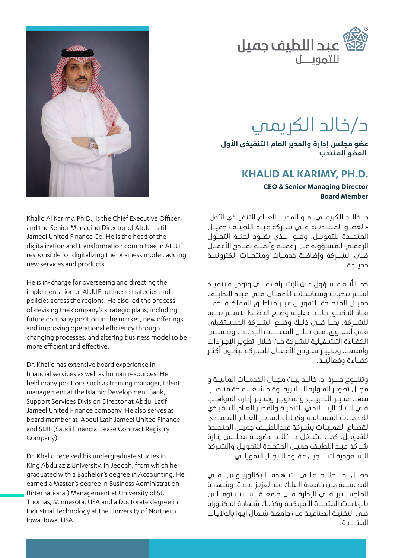

# د/خالد الكريمي

**عضو مجلس إدارة واملدير العام التنفيذي األول العضو املنتدب**

#### **KHALID AL KARIMY, PH.D.**

**CEO & Senior Managing Director Board Member** 

د. خالــد الكريمــي، هــو املديــر العــام التنفيــذي األول، »العضــو املنتــدب« فــي شــركة عبــد اللطيــف جميــل املتحــدة للتمويــل، وهــو الــذي يقــود لجنــة التحــول الرقمـي املسـؤولة عـن رقمنـة وأتمتـة نمـاذج األعمـال فــي الشــركة وإضافــة خدمــات ومنتجــات الكترونيــة جديــدة.

كمــا أنــه مســؤول عــن اإلشــراف علــى وتوجيــه تنفيــذ اســتراتيجيات وسياســات الأعمــال فــي عبــد اللطيــف جميــل املتحــدة للتمويــل عبــر مناطــق اململكــة. كمــا قــاد الدكتــور خالــد عمليــة وضــع الخطــط االســتراتيجية للشــركة، بمــا فــي ذلــك وضــع الشــركة املســتقبلي فــي الســوق، مــن خــال املنتجــات الجديــدة وتحســين الكفـاءة التشـغيلية للشـركة مـن خـال تطويـر اإلجـراءات وأتمتهــا، وتغييــر نمــوذج األعمــال للشــركة ليكــون أكثــر كفــاءة وفعاليــة.

وتتنــوع خبــرة د. خالــد بيــن مجــال الخدمــات املاليــة و مجـال تطويـر املـوارد البشـرية. وقـد شـغل عـدة مناصـب منهــا مديــر التدريــب والتطويــر ومديــر إدارة المواهــب فـي البنـك اإلسـامي للتنميـة واملديـر العـام التنفيـذي للخدمــات المســاندة وكذلــك المدبــر العــام التنفيــذي لقطـاع العمليــات بشــركة عبداللطيـف جميــل المتحــدة للتمويــل. كمــا يشــغل د. خالــد عضويــة مجلــس إدارة شـركة عبـد اللطيـف جميـل املتحـدة للتمويـل والشـركة الســعودية لتســجيل عقــود االيجــار التمويلــي

حصــل د. خالــد علــى شــهادة البكالوريــوس فــي المحاسـبة مـن حامعـة الملـك عبدالعزيـز بجـدة، وشـهادة الماحســتير فــي الإدارة مــن جامعــة ســانت تومــاس بالواليـات املتحـدة األمريكيـة وكذلـك شـهادة الدكتـوراه فـي التقنيـة الصناعيـة مـن جامعـة شـمال أيـوا بالواليـات املتحــدة.



Khalid Al Karimy, Ph.D., is the Chief Executive Officer and the Senior Managing Director of Abdul Latif Jameel United Finance Co. He is the head of the digitalization and transformation committee in ALJUF responsible for digitalizing the business model, adding new services and products.

He is in-charge for overseeing and directing the implementation of ALJUF business strategies and policies across the regions. He also led the process of devising the company's strategic plans, including future company position in the market, new offerings and improving operational efficiency through changing processes, and altering business model to be more efficient and effective.

Dr. Khalid has extensive board experience in financial services as well as human resources. He held many positions such as training manager, talent management at the Islamic Development Bank, Support Services Division Director at Abdul Latif Jameel United Finance company. He also serves as board member at Abdul Latif Jameel United Finance and SIJIL (Saudi Financial Lease Contract Registry .(Company

Dr. Khalid received his undergraduate studies in King Abdulaziz University, in Jeddah, from which he graduated with a Bachelor's degree in Accounting. He earned a Master's degree in Business Administration (International) Management at University of St. Thomas, Minnesota, USA and a Doctorate degree in Industrial Technology at the University of Northern lowa, Iowa, USA.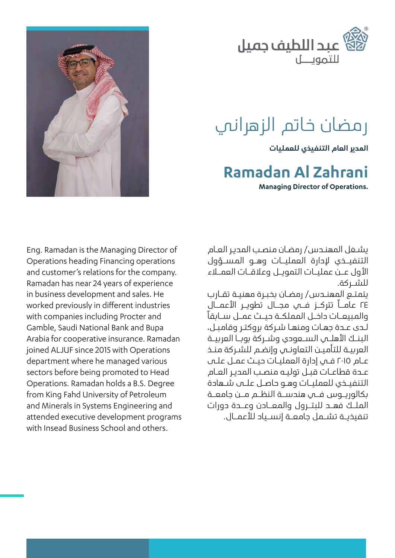

## رمضان خاتم الزهراني

**املدير العام التنفيذي للعمليات**

#### **Zahrani Al Ramadan**

**Managing Director of Operations.** 



يشـغل املهنـدس/ رمضـان منصـب املديـر العـام التنفيــذي إلدارة العمليــات وهــو املســؤول األول عــن عمليــات التمويــل وعالقــات العمــاء للشــركة.

يتمتـع املهنـدس/ رمضـان بخبـرة مهنيـة تقـارب 24 عامــا تتركــز فــي مجــال تطويــر األعمــال والمبيعــات داخــل المملكــة حيــث عمــل ســابقاً لـدى عـدة جهـات ومنهـا شـركة بروكتـر وقامبـل، الىنــك الأهلــي الســعودي وشــركة بوبــا العربيــة العربيـة للتأميـن التعاونـي وإنضـم للشـركة منـذ عـام 2015 فـي إدارة العمليـات حيـث عمـل علـى عـدة قطاعـات قبـل توليـه منصـب املديـر العـام التنفيــذي للعمليــات وهــو حاصــل علــى شــهادة بكالوريــوس فــي هندســة النظــم مــن جامعــة امللــك فهــد للبتــرول واملعــادن وعــدة دورات تنفيذيــة تشــمل جامعــة إنســياد لألعمــال.

Eng. Ramadan is the Managing Director of Operations heading Financing operations and customer's relations for the company. Ramadan has near 24 years of experience in business development and sales. He worked previously in different industries with companies including Procter and Gamble, Saudi National Bank and Bupa Arabia for cooperative insurance. Ramadan joined ALJUF since 2015 with Operations department where he managed various sectors before being promoted to Head Operations. Ramadan holds a B.S. Degree from King Fahd University of Petroleum and Minerals in Systems Engineering and attended executive development programs with Insead Business School and others.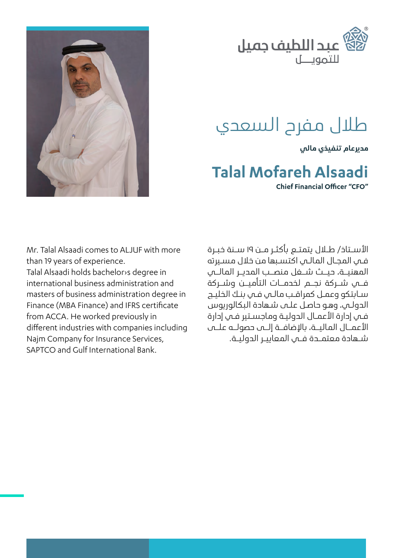

## طلال مفرح السعدي

**مديرعام تنفيذي مالي**

#### **Talal Mofareh Alsaadi**

**Chief Einancial Officer "CEO"** 

Mr. Talal Alsaadi comes to ALJUF with more than 19 years of experience.

Talal Alsaadi holds bachelor s degree in international business administration and masters of business administration degree in Finance (MBA Finance) and IFRS certificate from ACCA. He worked previously in different industries with companies including Najm Company for Insurance Services, SAPTCO and Gulf International Bank.

األســتاذ/ طــال يتمتــع بأكثــر مــن 19 ســنة خبــرة فـي املجـال املالـي اكتسـبها من خالل مسـيرته المهنيــة، حيــث شــغل منصــب المديــر المالــي فــي شــركة نجــم لخدمــات التأميــن وشــركة سـابتكو وعمـل كمراقـب مالـي فـي بنـك الخليـج الدولـي، وهـو حاصـل علـى شـهادة البكالوريوس فـي إدارة األعمـال الدوليـة وماجسـتير فـي إدارة األعمــال املاليــة، باإلضافــة إلــى حصولــه علــى شــهادة معتمــدة فــي املعاييــر الدوليــة.

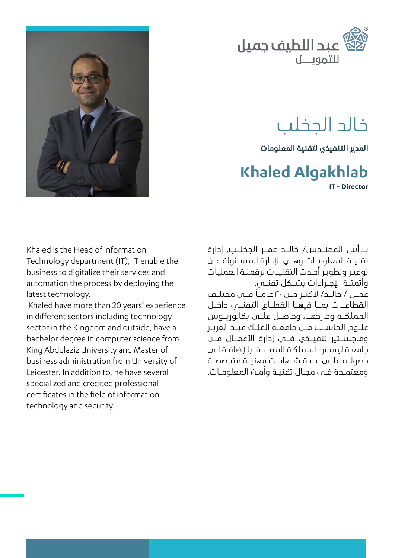

## خالد الجخلب

المدير التنفيذي لتقنية المعلومات

#### **IT** - Director **Khaled Algakhlab**

Khaled is the Head of information Technology department (IT), IT enable the business to digitalize their services and automation the process by deploying the latest technology.

Khaled have more than 20 years' experience in different sectors including technology sector in the Kingdom and outside, have a bachelor degree in computer science from King Abdulaziz University and Master of business administration from University of Leicester. In addition to, he have several specialized and credited professional certificates in the field of information technology and security.

يــرأس املهنــدس/ خالــد عمــر الجخلــب، إدارة تقنيــة املعلومــات وهــي اإلدارة املســئولة عــن توفيـر وتطويـر أحـدث التقنيـات لرقمنـة العمليات وأتمتــة اإلجــراءات بشــكل تقنــي. عمــل / خالــد/ لأكثــر مــن ٢٠ عامــاً فــس مختلــف القطاعــات بمــا فيهــا القطــاع التقنــي داخــل اململكــة وخارجهــا، وحاصــل علــى بكالوريــوس علــوم الحاســب مــن جامعــة امللــك عبــد العزيــز وماجســتير تنفيــذي فــي إدارة األعمــال مــن جامعـة ليسـتر- اململكـة املتحـدة، باإلضافـة الى حصولــه علــى عــدة شــهادات مهنيــة متخصصــة ومعتمـدة فـي مجـال تقنيـة وأمـن املعلومـات.

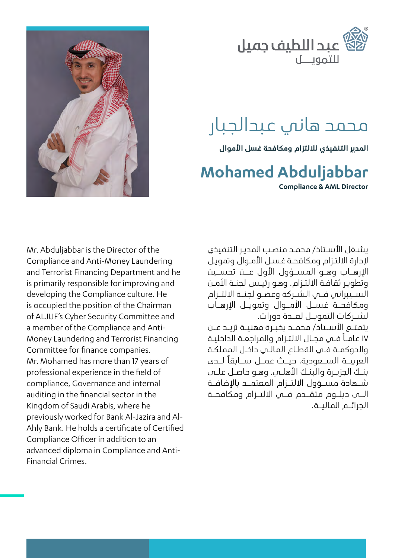

## محمد هاني عبدالجبار

**املدير التنفيذي لاللتزام ومكافحة غسل األموال**

## **Abduljabbar Mohamed**

**Compliance & AML Director** 

يشـغل الأسـتاذ/ محمـد منصـب المدير التنفيذي إلدارة االلتـزام ومكافحـة غسـل األمـوال وتمويـل اإلرهــاب وهــو املســؤول األول عــن تحســين وتطويـر ثقافـة االلتـزام. وهـو رئيـس لجنـة األمـن الســيبراني فــي الشــركة وعضــو لجنــة االلتــزام ومكافحــة غســل األمــوال وتمويــل اإلرهــاب لشــركات التمويــل لعــدة دورات.

يتمتــع األســتاذ/ محمــد بخبــرة مهنيــة تزيــد عــن 17 عامـا فـي مجـال االلتـزام واملراجعـة الداخليـة والحوكمـة فـي القطـاع املالـي داخـل اململكـة العربيــة الســعودية، حيــث عمــل ســابقًا لــدى بنــك الجزيــرة والبنــك األهلــي. وهــو حاصــل علــى شــهادة مســؤول االلتــزام املعتمــد باإلضافــة الــى دبلــوم متقــدم فــي االلتــزام ومكافحــة الجرائــم املاليــة.



Mr. Abduljabbar is the Director of the Compliance and Anti-Money Laundering and Terrorist Financing Department and he is primarily responsible for improving and developing the Compliance culture. He is occupied the position of the Chairman of ALJUF's Cyber Security Committee and Money Laundering and Terrorist Financing a member of the Compliance and Anti-Committee for finance companies. Mr. Mohamed has more than 17 years of professional experience in the field of compliance. Governance and internal auditing in the financial sector in the Kingdom of Saudi Arabis, where he Ahly Bank. He holds a certificate of Certified previously worked for Bank Al-Jazira and Al-Compliance Officer in addition to an advanced diploma in Compliance and Anti-<br>Financial Crimes.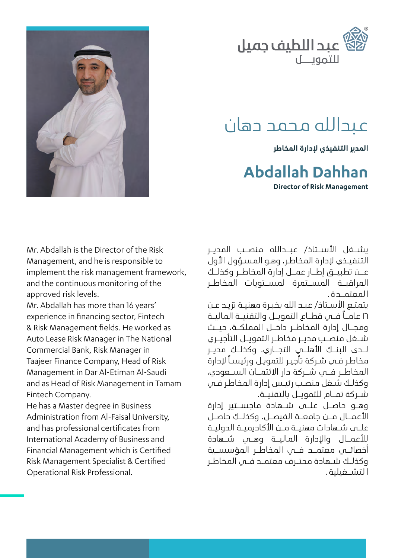

#### عبدالله محمد دهان

**املدير التنفيذي إلدارة املخاطر**

#### **Abdallah Dahhan**

**Director of Risk Management** 



Mr. Abdallah is the Director of the Risk Management, and he is responsible to implement the risk management framework, and the continuous monitoring of the approved risk levels.

Mr. Abdallah has more than 16 years' experience in financing sector, Fintech & Risk Management fields. He worked as Auto Lease Risk Manager in The National Commercial Bank, Risk Manager in Taajeer Finance Company, Head of Risk Management in Dar Al-Etiman Al-Saudi and as Head of Risk Management in Tamam Fintech Company.

He has a Master degree in Business Administration from Al-Faisal University, and has professional certificates from International Academy of Business and Financial Management which is Certified Risk Management Specialist & Certified Operational Risk Professional.

يشــغل الأســتاذ/ عبــدالله منصــب المديـر التنفيـذي لإدارة المخاطـر، وهـو المسـؤول الأول عــن تطبيــق إطــار عمــل إدارة املخاطــر وكذلــك المراقبــة المســتمرة لمســتويات المخاطـر المعتمــدة.

يتمتـع الأسـتاذ/ عبـد الله بخبـرة مهنيـة تزيـد عـن 16 عامــا فــي قطــاع التمويــل والتقنيــة املاليــة ومجــال إدارة املخاطــر داخــل اململكــة، حيــث شــغل منصــب مديــر مخاطــر التمويــل التأجيــري لــدى الىنــك الأهلـــي التجـــاري، وكذلــك مديــر مخاطـر فـي شـركة تأجيـر للتمويـل ورئيسـا إلدارة المخاطــر فــي شــركة دار الائتمـــان الســـعودي، وكذلـك شـغل منصـب رئيـس إدارة املخاطـر فـي شــركة تمــام للتمويــل بالتقنيــة.

وهــو حاصــل علــى شــهادة ماجســتير إدارة األعمــال مــن جامعــة الفيصــل، وكذلــك حاصــل علــى شــهادات مهنيــة مــن األكاديميــة الدوليــة للأعمـــال والادارة الماليـــة وهــي شــــهادة أخصائــي معتمـــد فـــي المخاطــر المؤسســــة وكذلــك شــهادة محتــرف معتمــد فــي املخاطــر ا لتشــغيلية .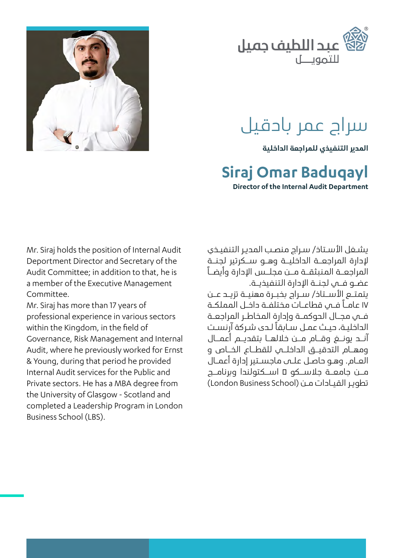

# سراج عمر بادقيل

**املدير التنفيذي للمراجعة الداخلية**

#### **Baduqayl Omar Siraj**

**Director of the Internal Audit Department** 

Mr. Siraj holds the position of Internal Audit Deportment Director and Secretary of the Audit Committee: in addition to that, he is a member of the Executive Management .Committee

Mr. Siraj has more than 17 years of professional experience in various sectors within the Kingdom, in the field of Governance, Risk Management and Internal Audit, where he previously worked for Ernst & Young, during that period he provided Internal Audit services for the Public and Private sectors. He has a MBA degree from the University of Glasgow - Scotland and completed a Leadership Program in London Business School (LBS).

يشـغل الأسـتاذ/ سـراد منصـب المدير التنفيـذي إلدارة املراجعــة الداخليــة وهــو ســكرتير لجنــة المراجعــة المنىثقــة مــن مجلــس الإدارة وأيضــاً عضــو فـــي لحنــة الإدارة التنفيذيــة. يتمتــع األســتاذ/ ســراج بخبــرة مهنيــة تزيــد عــن 17 عامــا فــي قطاعــات مختلفــة داخــل اململكــة فــي مجــال الجوكمــة وإدارة المخاطـر المراجعــة الداخليـة، حيـث عمـل سـابقًا لـدى شـركة آرنسـت آنــد يونــغ وقــام مــن خاللهــا بتقديــم أعمــال ومهــام التدقيــق الداخلــي للقطــاع الخــاص و العـام. وهـو حاصـل علـى ماجسـتير إدارة أعمـال مــن جامعــة جالســكو – اســكتولندا وبرنامــج تطوير القيـادات مـن (London Business School)